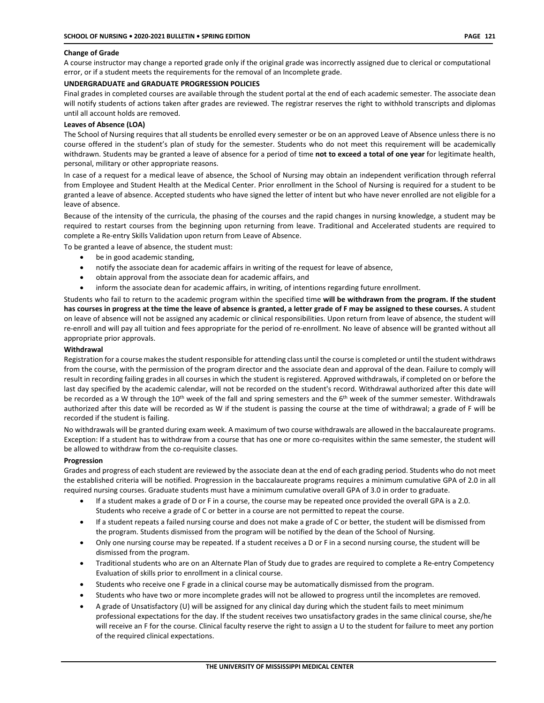## **Change of Grade**

A course instructor may change a reported grade only if the original grade was incorrectly assigned due to clerical or computational error, or if a student meets the requirements for the removal of an Incomplete grade.

## **UNDERGRADUATE and GRADUATE PROGRESSION POLICIES**

Final grades in completed courses are available through the student portal at the end of each academic semester. The associate dean will notify students of actions taken after grades are reviewed. The registrar reserves the right to withhold transcripts and diplomas until all account holds are removed.

## **Leaves of Absence (LOA)**

The School of Nursing requires that all students be enrolled every semester or be on an approved Leave of Absence unless there is no course offered in the student's plan of study for the semester. Students who do not meet this requirement will be academically withdrawn. Students may be granted a leave of absence for a period of time **not to exceed a total of one year** for legitimate health, personal, military or other appropriate reasons.

In case of a request for a medical leave of absence, the School of Nursing may obtain an independent verification through referral from Employee and Student Health at the Medical Center. Prior enrollment in the School of Nursing is required for a student to be granted a leave of absence. Accepted students who have signed the letter of intent but who have never enrolled are not eligible for a leave of absence.

Because of the intensity of the curricula, the phasing of the courses and the rapid changes in nursing knowledge, a student may be required to restart courses from the beginning upon returning from leave. Traditional and Accelerated students are required to complete a Re-entry Skills Validation upon return from Leave of Absence.

To be granted a leave of absence, the student must:

- be in good academic standing,
- notify the associate dean for academic affairs in writing of the request for leave of absence,
- obtain approval from the associate dean for academic affairs, and
- inform the associate dean for academic affairs, in writing, of intentions regarding future enrollment.

Students who fail to return to the academic program within the specified time **will be withdrawn from the program. If the student has courses in progress at the time the leave of absence is granted, a letter grade of F may be assigned to these courses.** A student on leave of absence will not be assigned any academic or clinical responsibilities. Upon return from leave of absence, the student will re-enroll and will pay all tuition and fees appropriate for the period of re-enrollment. No leave of absence will be granted without all appropriate prior approvals.

### **Withdrawal**

Registration for a course makes the student responsible for attending class until the course is completed or until the student withdraws from the course, with the permission of the program director and the associate dean and approval of the dean. Failure to comply will result in recording failing grades in all courses in which the student is registered. Approved withdrawals, if completed on or before the last day specified by the academic calendar, will not be recorded on the student's record. Withdrawal authorized after this date will be recorded as a W through the 10<sup>th</sup> week of the fall and spring semesters and the 6<sup>th</sup> week of the summer semester. Withdrawals authorized after this date will be recorded as W if the student is passing the course at the time of withdrawal; a grade of F will be recorded if the student is failing.

No withdrawals will be granted during exam week. A maximum of two course withdrawals are allowed in the baccalaureate programs. Exception: If a student has to withdraw from a course that has one or more co-requisites within the same semester, the student will be allowed to withdraw from the co-requisite classes.

### **Progression**

Grades and progress of each student are reviewed by the associate dean at the end of each grading period. Students who do not meet the established criteria will be notified. Progression in the baccalaureate programs requires a minimum cumulative GPA of 2.0 in all required nursing courses. Graduate students must have a minimum cumulative overall GPA of 3.0 in order to graduate.

- If a student makes a grade of D or F in a course, the course may be repeated once provided the overall GPA is a 2.0. Students who receive a grade of C or better in a course are not permitted to repeat the course.
- If a student repeats a failed nursing course and does not make a grade of C or better, the student will be dismissed from the program. Students dismissed from the program will be notified by the dean of the School of Nursing.
- Only one nursing course may be repeated. If a student receives a D or F in a second nursing course, the student will be dismissed from the program.
- Traditional students who are on an Alternate Plan of Study due to grades are required to complete a Re-entry Competency Evaluation of skills prior to enrollment in a clinical course.
- Students who receive one F grade in a clinical course may be automatically dismissed from the program.
- Students who have two or more incomplete grades will not be allowed to progress until the incompletes are removed.
- A grade of Unsatisfactory (U) will be assigned for any clinical day during which the student fails to meet minimum professional expectations for the day. If the student receives two unsatisfactory grades in the same clinical course, she/he will receive an F for the course. Clinical faculty reserve the right to assign a U to the student for failure to meet any portion of the required clinical expectations.